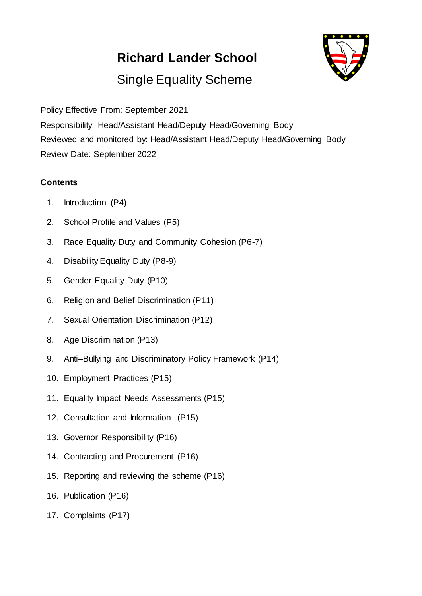# **Richard Lander School**



# Single Equality Scheme

Policy Effective From: September 2021 Responsibility: Head/Assistant Head/Deputy Head/Governing Body Reviewed and monitored by: Head/Assistant Head/Deputy Head/Governing Body Review Date: September 2022

## **Contents**

- 1. Introduction (P4)
- 2. School Profile and Values (P5)
- 3. Race Equality Duty and Community Cohesion (P6-7)
- 4. Disability Equality Duty (P8-9)
- 5. Gender Equality Duty (P10)
- 6. Religion and Belief Discrimination (P11)
- 7. Sexual Orientation Discrimination (P12)
- 8. Age Discrimination (P13)
- 9. Anti–Bullying and Discriminatory Policy Framework (P14)
- 10. Employment Practices (P15)
- 11. Equality Impact Needs Assessments (P15)
- 12. Consultation and Information (P15)
- 13. Governor Responsibility (P16)
- 14. Contracting and Procurement (P16)
- 15. Reporting and reviewing the scheme (P16)
- 16. Publication (P16)
- 17. Complaints (P17)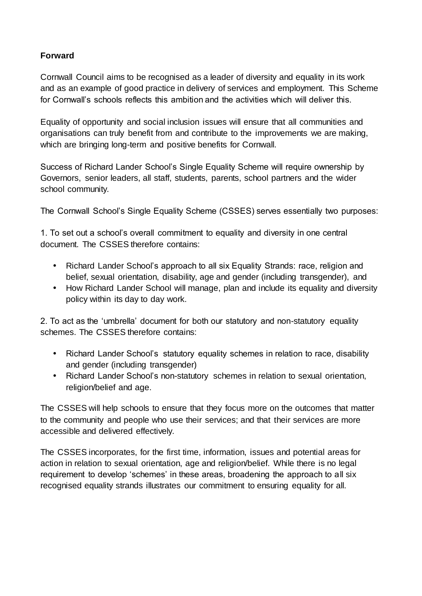#### **Forward**

Cornwall Council aims to be recognised as a leader of diversity and equality in its work and as an example of good practice in delivery of services and employment. This Scheme for Cornwall's schools reflects this ambition and the activities which will deliver this.

Equality of opportunity and social inclusion issues will ensure that all communities and organisations can truly benefit from and contribute to the improvements we are making, which are bringing long-term and positive benefits for Cornwall.

Success of Richard Lander School's Single Equality Scheme will require ownership by Governors, senior leaders, all staff, students, parents, school partners and the wider school community.

The Cornwall School's Single Equality Scheme (CSSES) serves essentially two purposes:

1. To set out a school's overall commitment to equality and diversity in one central document. The CSSES therefore contains:

- Richard Lander School's approach to all six Equality Strands: race, religion and belief, sexual orientation, disability, age and gender (including transgender), and
- How Richard Lander School will manage, plan and include its equality and diversity policy within its day to day work.

2. To act as the 'umbrella' document for both our statutory and non-statutory equality schemes. The CSSES therefore contains:

- Richard Lander School's statutory equality schemes in relation to race, disability and gender (including transgender)
- Richard Lander School's non-statutory schemes in relation to sexual orientation, religion/belief and age.

The CSSES will help schools to ensure that they focus more on the outcomes that matter to the community and people who use their services; and that their services are more accessible and delivered effectively.

The CSSES incorporates, for the first time, information, issues and potential areas for action in relation to sexual orientation, age and religion/belief. While there is no legal requirement to develop 'schemes' in these areas, broadening the approach to all six recognised equality strands illustrates our commitment to ensuring equality for all.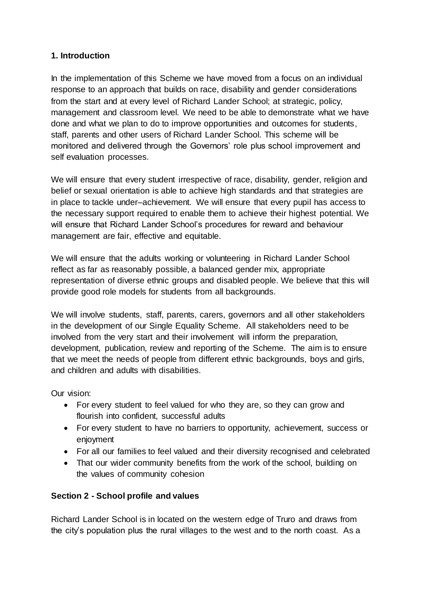## **1. Introduction**

In the implementation of this Scheme we have moved from a focus on an individual response to an approach that builds on race, disability and gender considerations from the start and at every level of Richard Lander School; at strategic, policy, management and classroom level. We need to be able to demonstrate what we have done and what we plan to do to improve opportunities and outcomes for students, staff, parents and other users of Richard Lander School. This scheme will be monitored and delivered through the Governors' role plus school improvement and self evaluation processes.

We will ensure that every student irrespective of race, disability, gender, religion and belief or sexual orientation is able to achieve high standards and that strategies are in place to tackle under–achievement. We will ensure that every pupil has access to the necessary support required to enable them to achieve their highest potential. We will ensure that Richard Lander School's procedures for reward and behaviour management are fair, effective and equitable.

We will ensure that the adults working or volunteering in Richard Lander School reflect as far as reasonably possible, a balanced gender mix, appropriate representation of diverse ethnic groups and disabled people. We believe that this will provide good role models for students from all backgrounds.

We will involve students, staff, parents, carers, governors and all other stakeholders in the development of our Single Equality Scheme. All stakeholders need to be involved from the very start and their involvement will inform the preparation, development, publication, review and reporting of the Scheme. The aim is to ensure that we meet the needs of people from different ethnic backgrounds, boys and girls, and children and adults with disabilities.

Our vision:

- For every student to feel valued for who they are, so they can grow and flourish into confident, successful adults
- For every student to have no barriers to opportunity, achievement, success or enjoyment
- For all our families to feel valued and their diversity recognised and celebrated
- That our wider community benefits from the work of the school, building on the values of community cohesion

# **Section 2 - School profile and values**

Richard Lander School is in located on the western edge of Truro and draws from the city's population plus the rural villages to the west and to the north coast. As a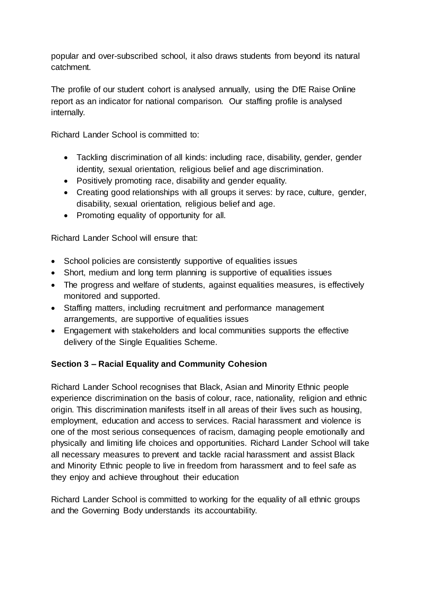popular and over-subscribed school, it also draws students from beyond its natural catchment.

The profile of our student cohort is analysed annually, using the DfE Raise Online report as an indicator for national comparison. Our staffing profile is analysed internally.

Richard Lander School is committed to:

- Tackling discrimination of all kinds: including race, disability, gender, gender identity, sexual orientation, religious belief and age discrimination.
- Positively promoting race, disability and gender equality.
- Creating good relationships with all groups it serves: by race, culture, gender, disability, sexual orientation, religious belief and age.
- Promoting equality of opportunity for all.

Richard Lander School will ensure that:

- School policies are consistently supportive of equalities issues
- Short, medium and long term planning is supportive of equalities issues
- The progress and welfare of students, against equalities measures, is effectively monitored and supported.
- Staffing matters, including recruitment and performance management arrangements, are supportive of equalities issues
- Engagement with stakeholders and local communities supports the effective delivery of the Single Equalities Scheme.

#### **Section 3 – Racial Equality and Community Cohesion**

Richard Lander School recognises that Black, Asian and Minority Ethnic people experience discrimination on the basis of colour, race, nationality, religion and ethnic origin. This discrimination manifests itself in all areas of their lives such as housing, employment, education and access to services. Racial harassment and violence is one of the most serious consequences of racism, damaging people emotionally and physically and limiting life choices and opportunities. Richard Lander School will take all necessary measures to prevent and tackle racial harassment and assist Black and Minority Ethnic people to live in freedom from harassment and to feel safe as they enjoy and achieve throughout their education

Richard Lander School is committed to working for the equality of all ethnic groups and the Governing Body understands its accountability.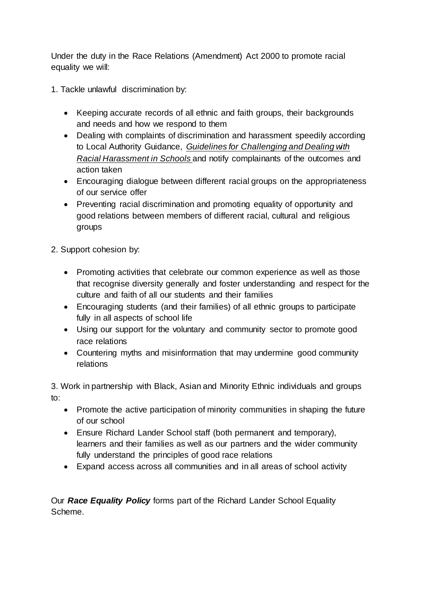Under the duty in the Race Relations (Amendment) Act 2000 to promote racial equality we will:

- 1. Tackle unlawful discrimination by:
	- Keeping accurate records of all ethnic and faith groups, their backgrounds and needs and how we respond to them
	- Dealing with complaints of discrimination and harassment speedily according to Local Authority Guidance, *Guidelines for Challenging and Dealing with Racial Harassment in Schools* and notify complainants of the outcomes and action taken
	- Encouraging dialogue between different racial groups on the appropriateness of our service offer
	- Preventing racial discrimination and promoting equality of opportunity and good relations between members of different racial, cultural and religious groups

2. Support cohesion by:

- Promoting activities that celebrate our common experience as well as those that recognise diversity generally and foster understanding and respect for the culture and faith of all our students and their families
- Encouraging students (and their families) of all ethnic groups to participate fully in all aspects of school life
- Using our support for the voluntary and community sector to promote good race relations
- Countering myths and misinformation that may undermine good community relations

3. Work in partnership with Black, Asian and Minority Ethnic individuals and groups to:

- Promote the active participation of minority communities in shaping the future of our school
- Ensure Richard Lander School staff (both permanent and temporary), learners and their families as well as our partners and the wider community fully understand the principles of good race relations
- Expand access across all communities and in all areas of school activity

Our *Race Equality Policy* forms part of the Richard Lander School Equality Scheme.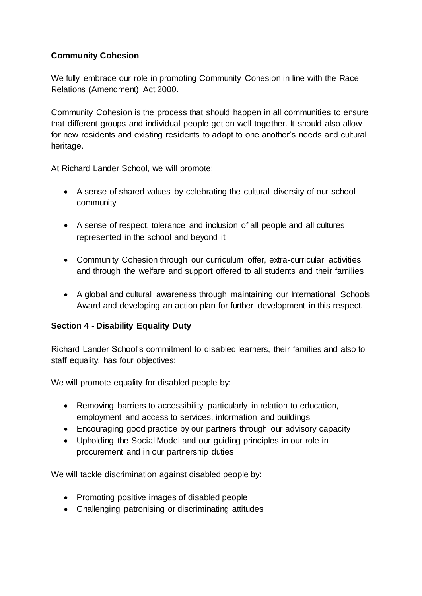# **Community Cohesion**

We fully embrace our role in promoting Community Cohesion in line with the Race Relations (Amendment) Act 2000.

Community Cohesion is the process that should happen in all communities to ensure that different groups and individual people get on well together. It should also allow for new residents and existing residents to adapt to one another's needs and cultural heritage.

At Richard Lander School, we will promote:

- A sense of shared values by celebrating the cultural diversity of our school community
- A sense of respect, tolerance and inclusion of all people and all cultures represented in the school and beyond it
- Community Cohesion through our curriculum offer, extra-curricular activities and through the welfare and support offered to all students and their families
- A global and cultural awareness through maintaining our International Schools Award and developing an action plan for further development in this respect.

# **Section 4 - Disability Equality Duty**

Richard Lander School's commitment to disabled learners, their families and also to staff equality, has four objectives:

We will promote equality for disabled people by:

- Removing barriers to accessibility, particularly in relation to education, employment and access to services, information and buildings
- Encouraging good practice by our partners through our advisory capacity
- Upholding the Social Model and our guiding principles in our role in procurement and in our partnership duties

We will tackle discrimination against disabled people by:

- Promoting positive images of disabled people
- Challenging patronising or discriminating attitudes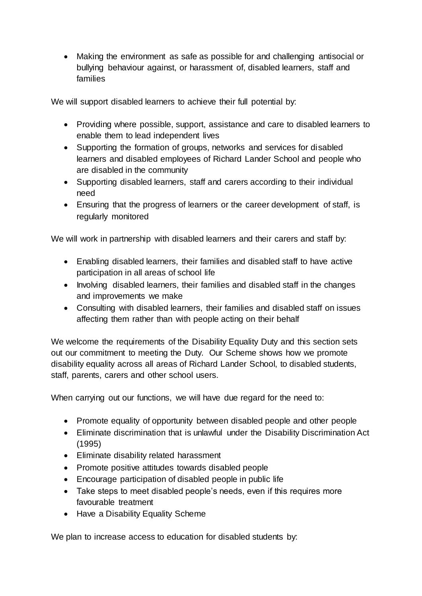Making the environment as safe as possible for and challenging antisocial or bullying behaviour against, or harassment of, disabled learners, staff and families

We will support disabled learners to achieve their full potential by:

- Providing where possible, support, assistance and care to disabled learners to enable them to lead independent lives
- Supporting the formation of groups, networks and services for disabled learners and disabled employees of Richard Lander School and people who are disabled in the community
- Supporting disabled learners, staff and carers according to their individual need
- Ensuring that the progress of learners or the career development of staff, is regularly monitored

We will work in partnership with disabled learners and their carers and staff by:

- Enabling disabled learners, their families and disabled staff to have active participation in all areas of school life
- Involving disabled learners, their families and disabled staff in the changes and improvements we make
- Consulting with disabled learners, their families and disabled staff on issues affecting them rather than with people acting on their behalf

We welcome the requirements of the Disability Equality Duty and this section sets out our commitment to meeting the Duty. Our Scheme shows how we promote disability equality across all areas of Richard Lander School, to disabled students, staff, parents, carers and other school users.

When carrying out our functions, we will have due regard for the need to:

- Promote equality of opportunity between disabled people and other people
- Eliminate discrimination that is unlawful under the Disability Discrimination Act (1995)
- Eliminate disability related harassment
- Promote positive attitudes towards disabled people
- Encourage participation of disabled people in public life
- Take steps to meet disabled people's needs, even if this requires more favourable treatment
- Have a Disability Equality Scheme

We plan to increase access to education for disabled students by: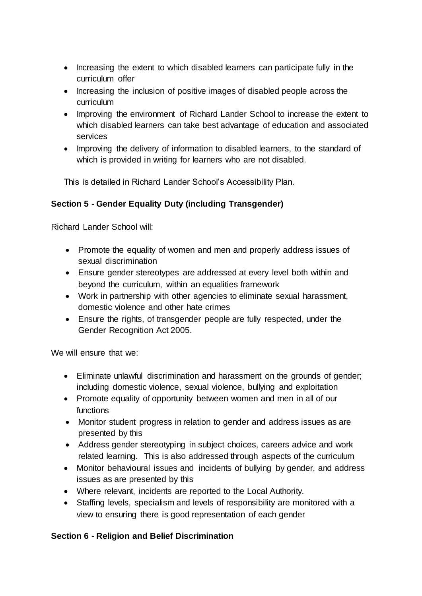- Increasing the extent to which disabled learners can participate fully in the curriculum offer
- Increasing the inclusion of positive images of disabled people across the curriculum
- Improving the environment of Richard Lander School to increase the extent to which disabled learners can take best advantage of education and associated services
- Improving the delivery of information to disabled learners, to the standard of which is provided in writing for learners who are not disabled.

This is detailed in Richard Lander School's Accessibility Plan.

# **Section 5 - Gender Equality Duty (including Transgender)**

Richard Lander School will:

- Promote the equality of women and men and properly address issues of sexual discrimination
- Ensure gender stereotypes are addressed at every level both within and beyond the curriculum, within an equalities framework
- Work in partnership with other agencies to eliminate sexual harassment, domestic violence and other hate crimes
- Ensure the rights, of transgender people are fully respected, under the Gender Recognition Act 2005.

We will ensure that we:

- Eliminate unlawful discrimination and harassment on the grounds of gender; including domestic violence, sexual violence, bullying and exploitation
- Promote equality of opportunity between women and men in all of our functions
- Monitor student progress in relation to gender and address issues as are presented by this
- Address gender stereotyping in subject choices, careers advice and work related learning. This is also addressed through aspects of the curriculum
- Monitor behavioural issues and incidents of bullying by gender, and address issues as are presented by this
- Where relevant, incidents are reported to the Local Authority.
- Staffing levels, specialism and levels of responsibility are monitored with a view to ensuring there is good representation of each gender

# **Section 6 - Religion and Belief Discrimination**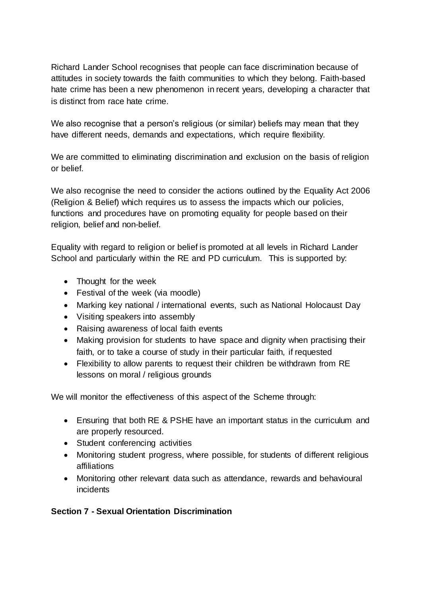Richard Lander School recognises that people can face discrimination because of attitudes in society towards the faith communities to which they belong. Faith-based hate crime has been a new phenomenon in recent years, developing a character that is distinct from race hate crime.

We also recognise that a person's religious (or similar) beliefs may mean that they have different needs, demands and expectations, which require flexibility.

We are committed to eliminating discrimination and exclusion on the basis of religion or belief.

We also recognise the need to consider the actions outlined by the Equality Act 2006 (Religion & Belief) which requires us to assess the impacts which our policies, functions and procedures have on promoting equality for people based on their religion, belief and non-belief.

Equality with regard to religion or belief is promoted at all levels in Richard Lander School and particularly within the RE and PD curriculum. This is supported by:

- Thought for the week
- Festival of the week (via moodle)
- Marking key national / international events, such as National Holocaust Day
- Visiting speakers into assembly
- Raising awareness of local faith events
- Making provision for students to have space and dignity when practising their faith, or to take a course of study in their particular faith, if requested
- Flexibility to allow parents to request their children be withdrawn from RE lessons on moral / religious grounds

We will monitor the effectiveness of this aspect of the Scheme through:

- Ensuring that both RE & PSHE have an important status in the curriculum and are properly resourced.
- Student conferencing activities
- Monitoring student progress, where possible, for students of different religious affiliations
- Monitoring other relevant data such as attendance, rewards and behavioural incidents

# **Section 7 - Sexual Orientation Discrimination**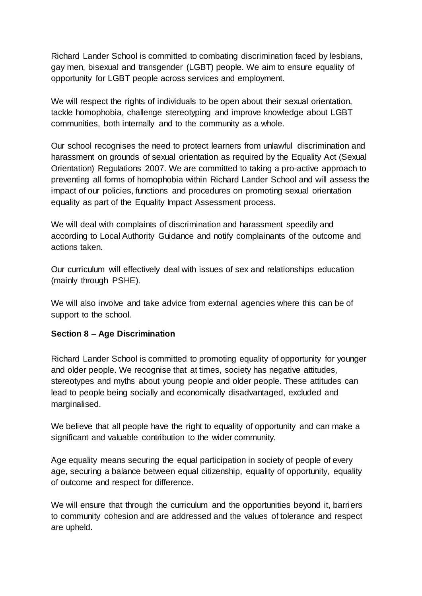Richard Lander School is committed to combating discrimination faced by lesbians, gay men, bisexual and transgender (LGBT) people. We aim to ensure equality of opportunity for LGBT people across services and employment.

We will respect the rights of individuals to be open about their sexual orientation, tackle homophobia, challenge stereotyping and improve knowledge about LGBT communities, both internally and to the community as a whole.

Our school recognises the need to protect learners from unlawful discrimination and harassment on grounds of sexual orientation as required by the Equality Act (Sexual Orientation) Regulations 2007. We are committed to taking a pro-active approach to preventing all forms of homophobia within Richard Lander School and will assess the impact of our policies, functions and procedures on promoting sexual orientation equality as part of the Equality Impact Assessment process.

We will deal with complaints of discrimination and harassment speedily and according to Local Authority Guidance and notify complainants of the outcome and actions taken.

Our curriculum will effectively deal with issues of sex and relationships education (mainly through PSHE).

We will also involve and take advice from external agencies where this can be of support to the school.

#### **Section 8 – Age Discrimination**

Richard Lander School is committed to promoting equality of opportunity for younger and older people. We recognise that at times, society has negative attitudes, stereotypes and myths about young people and older people. These attitudes can lead to people being socially and economically disadvantaged, excluded and marginalised.

We believe that all people have the right to equality of opportunity and can make a significant and valuable contribution to the wider community.

Age equality means securing the equal participation in society of people of every age, securing a balance between equal citizenship, equality of opportunity, equality of outcome and respect for difference.

We will ensure that through the curriculum and the opportunities beyond it, barriers to community cohesion and are addressed and the values of tolerance and respect are upheld.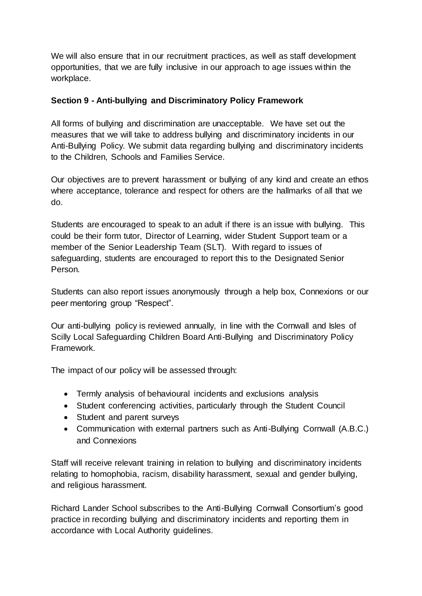We will also ensure that in our recruitment practices, as well as staff development opportunities, that we are fully inclusive in our approach to age issues within the workplace.

#### **Section 9 - Anti-bullying and Discriminatory Policy Framework**

All forms of bullying and discrimination are unacceptable. We have set out the measures that we will take to address bullying and discriminatory incidents in our Anti-Bullying Policy. We submit data regarding bullying and discriminatory incidents to the Children, Schools and Families Service.

Our objectives are to prevent harassment or bullying of any kind and create an ethos where acceptance, tolerance and respect for others are the hallmarks of all that we do.

Students are encouraged to speak to an adult if there is an issue with bullying. This could be their form tutor, Director of Learning, wider Student Support team or a member of the Senior Leadership Team (SLT). With regard to issues of safeguarding, students are encouraged to report this to the Designated Senior Person.

Students can also report issues anonymously through a help box, Connexions or our peer mentoring group "Respect".

Our anti-bullying policy is reviewed annually, in line with the Cornwall and Isles of Scilly Local Safeguarding Children Board Anti-Bullying and Discriminatory Policy Framework.

The impact of our policy will be assessed through:

- Termly analysis of behavioural incidents and exclusions analysis
- Student conferencing activities, particularly through the Student Council
- Student and parent surveys
- Communication with external partners such as Anti-Bullying Cornwall (A.B.C.) and Connexions

Staff will receive relevant training in relation to bullying and discriminatory incidents relating to homophobia, racism, disability harassment, sexual and gender bullying, and religious harassment.

Richard Lander School subscribes to the Anti-Bullying Cornwall Consortium's good practice in recording bullying and discriminatory incidents and reporting them in accordance with Local Authority guidelines.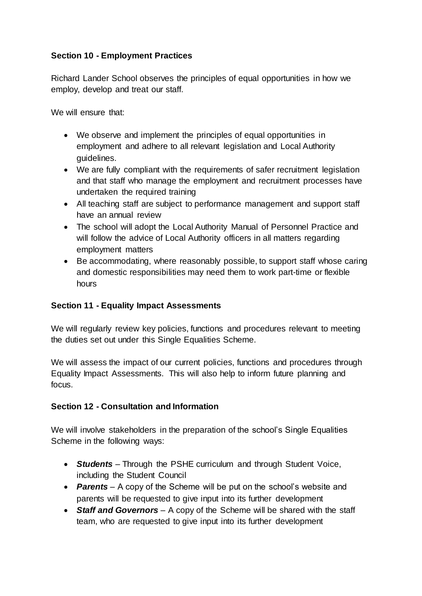## **Section 10 - Employment Practices**

Richard Lander School observes the principles of equal opportunities in how we employ, develop and treat our staff.

We will ensure that:

- We observe and implement the principles of equal opportunities in employment and adhere to all relevant legislation and Local Authority guidelines.
- We are fully compliant with the requirements of safer recruitment legislation and that staff who manage the employment and recruitment processes have undertaken the required training
- All teaching staff are subject to performance management and support staff have an annual review
- The school will adopt the Local Authority Manual of Personnel Practice and will follow the advice of Local Authority officers in all matters regarding employment matters
- Be accommodating, where reasonably possible, to support staff whose caring and domestic responsibilities may need them to work part-time or flexible hours

#### **Section 11 - Equality Impact Assessments**

We will regularly review key policies, functions and procedures relevant to meeting the duties set out under this Single Equalities Scheme.

We will assess the impact of our current policies, functions and procedures through Equality Impact Assessments. This will also help to inform future planning and focus.

#### **Section 12 - Consultation and Information**

We will involve stakeholders in the preparation of the school's Single Equalities Scheme in the following ways:

- *Students* Through the PSHE curriculum and through Student Voice, including the Student Council
- **Parents** A copy of the Scheme will be put on the school's website and parents will be requested to give input into its further development
- *Staff and Governors* A copy of the Scheme will be shared with the staff team, who are requested to give input into its further development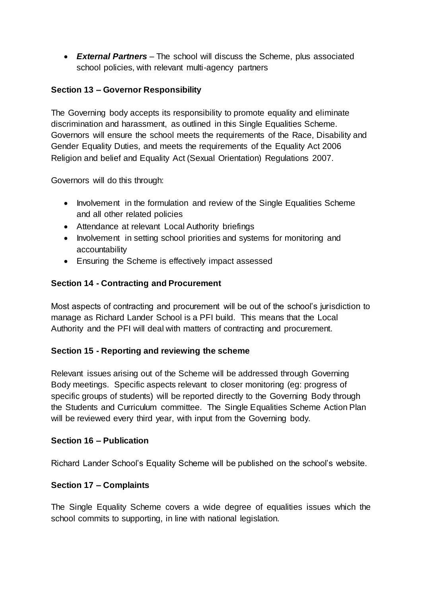*External Partners* – The school will discuss the Scheme, plus associated school policies, with relevant multi-agency partners

## **Section 13 – Governor Responsibility**

The Governing body accepts its responsibility to promote equality and eliminate discrimination and harassment, as outlined in this Single Equalities Scheme. Governors will ensure the school meets the requirements of the Race, Disability and Gender Equality Duties, and meets the requirements of the Equality Act 2006 Religion and belief and Equality Act (Sexual Orientation) Regulations 2007.

Governors will do this through:

- Involvement in the formulation and review of the Single Equalities Scheme and all other related policies
- Attendance at relevant Local Authority briefings
- Involvement in setting school priorities and systems for monitoring and accountability
- Ensuring the Scheme is effectively impact assessed

#### **Section 14 - Contracting and Procurement**

Most aspects of contracting and procurement will be out of the school's jurisdiction to manage as Richard Lander School is a PFI build. This means that the Local Authority and the PFI will deal with matters of contracting and procurement.

#### **Section 15 - Reporting and reviewing the scheme**

Relevant issues arising out of the Scheme will be addressed through Governing Body meetings. Specific aspects relevant to closer monitoring (eg: progress of specific groups of students) will be reported directly to the Governing Body through the Students and Curriculum committee. The Single Equalities Scheme Action Plan will be reviewed every third year, with input from the Governing body.

#### **Section 16 – Publication**

Richard Lander School's Equality Scheme will be published on the school's website.

#### **Section 17 – Complaints**

The Single Equality Scheme covers a wide degree of equalities issues which the school commits to supporting, in line with national legislation.